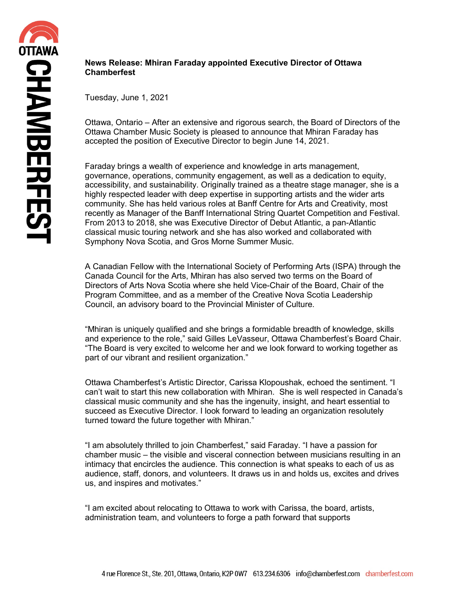## **News Release: Mhiran Faraday appointed Executive Director of Ottawa Chamberfest**

Tuesday, June 1, 2021

Ottawa, Ontario – After an extensive and rigorous search, the Board of Directors of the Ottawa Chamber Music Society is pleased to announce that Mhiran Faraday has accepted the position of Executive Director to begin June 14, 2021.

Faraday brings a wealth of experience and knowledge in arts management, governance, operations, community engagement, as well as a dedication to equity, accessibility, and sustainability. Originally trained as a theatre stage manager, she is a highly respected leader with deep expertise in supporting artists and the wider arts community. She has held various roles at Banff Centre for Arts and Creativity, most recently as Manager of the Banff International String Quartet Competition and Festival. From 2013 to 2018, she was Executive Director of Debut Atlantic, a pan-Atlantic classical music touring network and she has also worked and collaborated with Symphony Nova Scotia, and Gros Morne Summer Music.

A Canadian Fellow with the International Society of Performing Arts (ISPA) through the Canada Council for the Arts, Mhiran has also served two terms on the Board of Directors of Arts Nova Scotia where she held Vice-Chair of the Board, Chair of the Program Committee, and as a member of the Creative Nova Scotia Leadership Council, an advisory board to the Provincial Minister of Culture.

"Mhiran is uniquely qualified and she brings a formidable breadth of knowledge, skills and experience to the role," said Gilles LeVasseur, Ottawa Chamberfest's Board Chair. "The Board is very excited to welcome her and we look forward to working together as part of our vibrant and resilient organization."

Ottawa Chamberfest's Artistic Director, Carissa Klopoushak, echoed the sentiment. "I can't wait to start this new collaboration with Mhiran. She is well respected in Canada's classical music community and she has the ingenuity, insight, and heart essential to succeed as Executive Director. I look forward to leading an organization resolutely turned toward the future together with Mhiran."

"I am absolutely thrilled to join Chamberfest," said Faraday. "I have a passion for chamber music – the visible and visceral connection between musicians resulting in an intimacy that encircles the audience. This connection is what speaks to each of us as audience, staff, donors, and volunteers. It draws us in and holds us, excites and drives us, and inspires and motivates."

"I am excited about relocating to Ottawa to work with Carissa, the board, artists, administration team, and volunteers to forge a path forward that supports